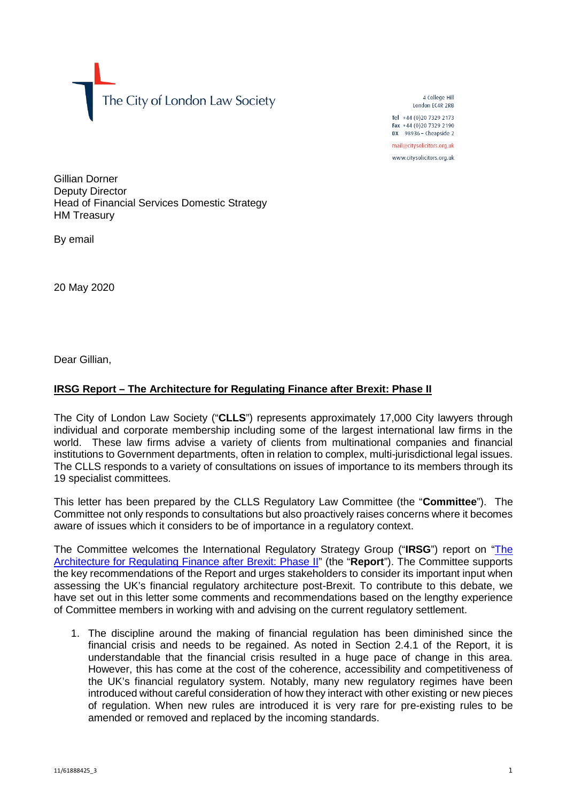The City of London Law Society

4 College Hill London FC4R 2RB

Tel +44 (0)20 7329 2173 Fax +44 (0)20 7329 2190 DX  $98936$  - Cheapside 2 mail@citysolicitors.org.uk

www.citysolicitors.org.uk

Gillian Dorner Deputy Director Head of Financial Services Domestic Strategy HM Treasury

By email

20 May 2020

Dear Gillian,

## **IRSG Report – The Architecture for Regulating Finance after Brexit: Phase II**

The City of London Law Society ("**CLLS**") represents approximately 17,000 City lawyers through individual and corporate membership including some of the largest international law firms in the world. These law firms advise a variety of clients from multinational companies and financial institutions to Government departments, often in relation to complex, multi-jurisdictional legal issues. The CLLS responds to a variety of consultations on issues of importance to its members through its 19 specialist committees.

This letter has been prepared by the CLLS Regulatory Law Committee (the "**Committee**"). The Committee not only responds to consultations but also proactively raises concerns where it becomes aware of issues which it considers to be of importance in a regulatory context.

The Committee welcomes the International Regulatory Strategy Group ("**IRSG**") report on ["The](https://www.irsg.co.uk/assets/Resources-and-commentary/The-architecture-for-regulating-finance-after-Brexit-Phase-II.pdf)  [Architecture for Regulating Finance after Brexit: Phase II"](https://www.irsg.co.uk/assets/Resources-and-commentary/The-architecture-for-regulating-finance-after-Brexit-Phase-II.pdf) (the "**Report**"). The Committee supports the key recommendations of the Report and urges stakeholders to consider its important input when assessing the UK's financial regulatory architecture post-Brexit. To contribute to this debate, we have set out in this letter some comments and recommendations based on the lengthy experience of Committee members in working with and advising on the current regulatory settlement.

1. The discipline around the making of financial regulation has been diminished since the financial crisis and needs to be regained. As noted in Section 2.4.1 of the Report, it is understandable that the financial crisis resulted in a huge pace of change in this area. However, this has come at the cost of the coherence, accessibility and competitiveness of the UK's financial regulatory system. Notably, many new regulatory regimes have been introduced without careful consideration of how they interact with other existing or new pieces of regulation. When new rules are introduced it is very rare for pre-existing rules to be amended or removed and replaced by the incoming standards.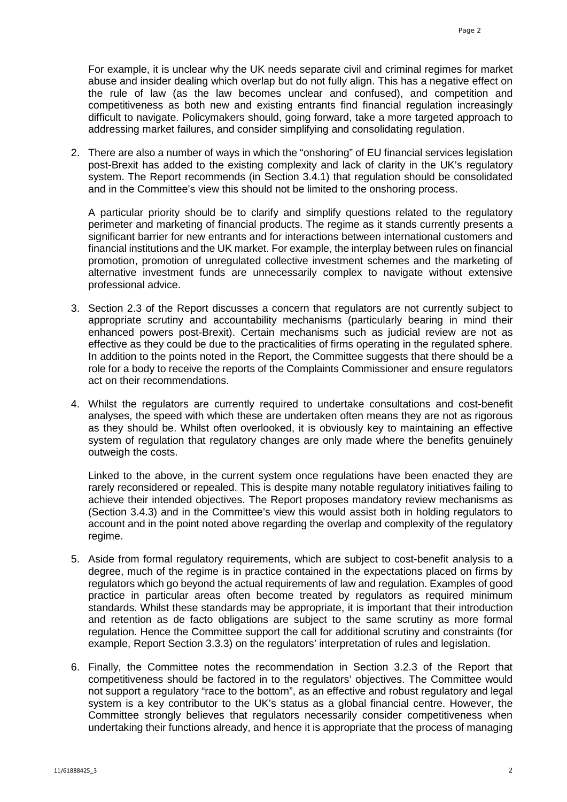For example, it is unclear why the UK needs separate civil and criminal regimes for market abuse and insider dealing which overlap but do not fully align. This has a negative effect on the rule of law (as the law becomes unclear and confused), and competition and competitiveness as both new and existing entrants find financial regulation increasingly difficult to navigate. Policymakers should, going forward, take a more targeted approach to addressing market failures, and consider simplifying and consolidating regulation.

2. There are also a number of ways in which the "onshoring" of EU financial services legislation post-Brexit has added to the existing complexity and lack of clarity in the UK's regulatory system. The Report recommends (in Section 3.4.1) that regulation should be consolidated and in the Committee's view this should not be limited to the onshoring process.

A particular priority should be to clarify and simplify questions related to the regulatory perimeter and marketing of financial products. The regime as it stands currently presents a significant barrier for new entrants and for interactions between international customers and financial institutions and the UK market. For example, the interplay between rules on financial promotion, promotion of unregulated collective investment schemes and the marketing of alternative investment funds are unnecessarily complex to navigate without extensive professional advice.

- 3. Section 2.3 of the Report discusses a concern that regulators are not currently subject to appropriate scrutiny and accountability mechanisms (particularly bearing in mind their enhanced powers post-Brexit). Certain mechanisms such as judicial review are not as effective as they could be due to the practicalities of firms operating in the regulated sphere. In addition to the points noted in the Report, the Committee suggests that there should be a role for a body to receive the reports of the Complaints Commissioner and ensure regulators act on their recommendations.
- 4. Whilst the regulators are currently required to undertake consultations and cost-benefit analyses, the speed with which these are undertaken often means they are not as rigorous as they should be. Whilst often overlooked, it is obviously key to maintaining an effective system of regulation that regulatory changes are only made where the benefits genuinely outweigh the costs.

Linked to the above, in the current system once regulations have been enacted they are rarely reconsidered or repealed. This is despite many notable regulatory initiatives failing to achieve their intended objectives. The Report proposes mandatory review mechanisms as (Section 3.4.3) and in the Committee's view this would assist both in holding regulators to account and in the point noted above regarding the overlap and complexity of the regulatory regime.

- 5. Aside from formal regulatory requirements, which are subject to cost-benefit analysis to a degree, much of the regime is in practice contained in the expectations placed on firms by regulators which go beyond the actual requirements of law and regulation. Examples of good practice in particular areas often become treated by regulators as required minimum standards. Whilst these standards may be appropriate, it is important that their introduction and retention as de facto obligations are subject to the same scrutiny as more formal regulation. Hence the Committee support the call for additional scrutiny and constraints (for example, Report Section 3.3.3) on the regulators' interpretation of rules and legislation.
- 6. Finally, the Committee notes the recommendation in Section 3.2.3 of the Report that competitiveness should be factored in to the regulators' objectives. The Committee would not support a regulatory "race to the bottom", as an effective and robust regulatory and legal system is a key contributor to the UK's status as a global financial centre. However, the Committee strongly believes that regulators necessarily consider competitiveness when undertaking their functions already, and hence it is appropriate that the process of managing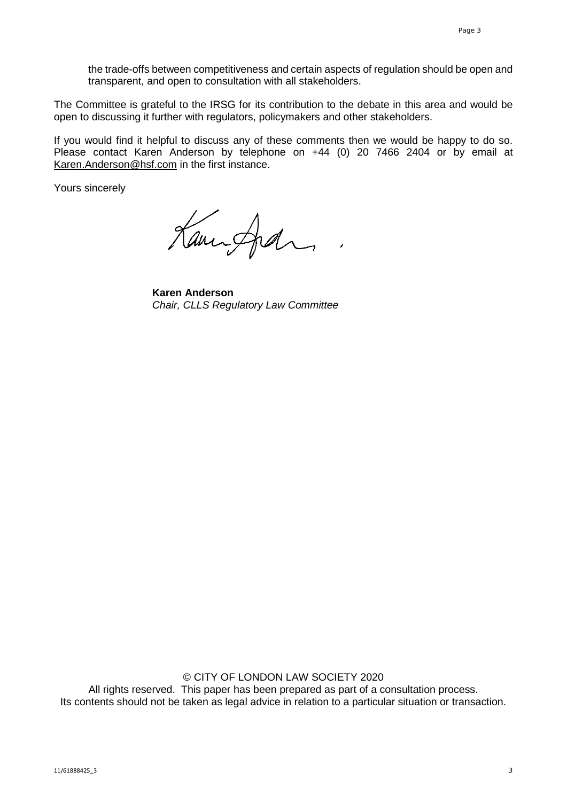the trade-offs between competitiveness and certain aspects of regulation should be open and transparent, and open to consultation with all stakeholders.

The Committee is grateful to the IRSG for its contribution to the debate in this area and would be open to discussing it further with regulators, policymakers and other stakeholders.

If you would find it helpful to discuss any of these comments then we would be happy to do so. Please contact Karen Anderson by telephone on +44 (0) 20 7466 2404 or by email at [Karen.Anderson@hsf.com](mailto:Karen.Anderson@hsf.com) in the first instance.

Yours sincerely

Kampfal

**Karen Anderson** *Chair, CLLS Regulatory Law Committee*

© CITY OF LONDON LAW SOCIETY 2020 All rights reserved. This paper has been prepared as part of a consultation process. Its contents should not be taken as legal advice in relation to a particular situation or transaction.